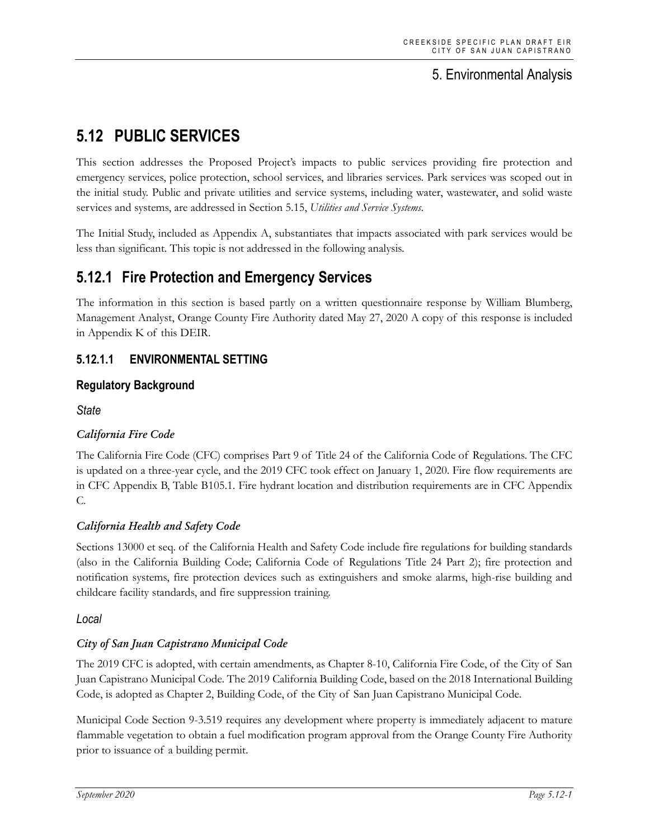## 5. Environmental Analysis

# **5.12 PUBLIC SERVICES**

This section addresses the Proposed Project's impacts to public services providing fire protection and emergency services, police protection, school services, and libraries services. Park services was scoped out in the initial study. Public and private utilities and service systems, including water, wastewater, and solid waste services and systems, are addressed in Section 5.15, *Utilities and Service Systems*.

The Initial Study, included as Appendix A, substantiates that impacts associated with park services would be less than significant. This topic is not addressed in the following analysis.

## **5.12.1 Fire Protection and Emergency Services**

The information in this section is based partly on a written questionnaire response by William Blumberg, Management Analyst, Orange County Fire Authority dated May 27, 2020 A copy of this response is included in Appendix K of this DEIR.

## **5.12.1.1 ENVIRONMENTAL SETTING**

## **Regulatory Background**

*State*

## *California Fire Code*

The California Fire Code (CFC) comprises Part 9 of Title 24 of the California Code of Regulations. The CFC is updated on a three-year cycle, and the 2019 CFC took effect on January 1, 2020. Fire flow requirements are in CFC Appendix B, Table B105.1. Fire hydrant location and distribution requirements are in CFC Appendix C.

#### *California Health and Safety Code*

Sections 13000 et seq. of the California Health and Safety Code include fire regulations for building standards (also in the California Building Code; California Code of Regulations Title 24 Part 2); fire protection and notification systems, fire protection devices such as extinguishers and smoke alarms, high-rise building and childcare facility standards, and fire suppression training.

#### *Local*

## *City of San Juan Capistrano Municipal Code*

The 2019 CFC is adopted, with certain amendments, as Chapter 8-10, California Fire Code, of the City of San Juan Capistrano Municipal Code. The 2019 California Building Code, based on the 2018 International Building Code, is adopted as Chapter 2, Building Code, of the City of San Juan Capistrano Municipal Code.

Municipal Code Section 9-3.519 requires any development where property is immediately adjacent to mature flammable vegetation to obtain a fuel modification program approval from the Orange County Fire Authority prior to issuance of a building permit.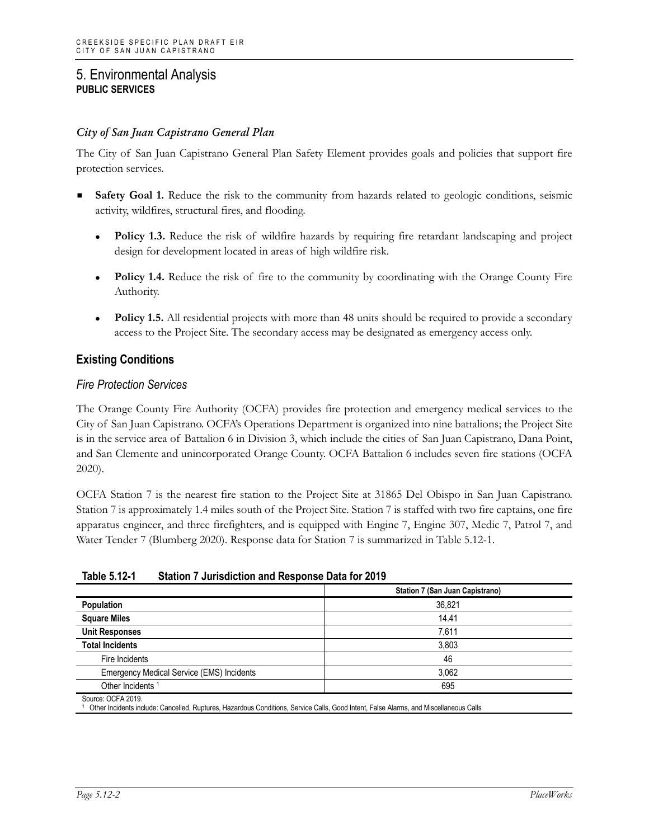#### *City of San Juan Capistrano General Plan*

The City of San Juan Capistrano General Plan Safety Element provides goals and policies that support fire protection services.

- **Safety Goal 1.** Reduce the risk to the community from hazards related to geologic conditions, seismic activity, wildfires, structural fires, and flooding.
	- **Policy 1.3.** Reduce the risk of wildfire hazards by requiring fire retardant landscaping and project design for development located in areas of high wildfire risk.
	- **Policy 1.4.** Reduce the risk of fire to the community by coordinating with the Orange County Fire Authority.
	- **Policy 1.5.** All residential projects with more than 48 units should be required to provide a secondary access to the Project Site. The secondary access may be designated as emergency access only.

## **Existing Conditions**

#### *Fire Protection Services*

The Orange County Fire Authority (OCFA) provides fire protection and emergency medical services to the City of San Juan Capistrano. OCFA's Operations Department is organized into nine battalions; the Project Site is in the service area of Battalion 6 in Division 3, which include the cities of San Juan Capistrano, Dana Point, and San Clemente and unincorporated Orange County. OCFA Battalion 6 includes seven fire stations (OCFA 2020).

OCFA Station 7 is the nearest fire station to the Project Site at 31865 Del Obispo in San Juan Capistrano. Station 7 is approximately 1.4 miles south of the Project Site. Station 7 is staffed with two fire captains, one fire apparatus engineer, and three firefighters, and is equipped with Engine 7, Engine 307, Medic 7, Patrol 7, and Water Tender 7 (Blumberg 2020). Response data for Station 7 is summarized in Table 5.12-1.

| Table 5.12-1 | Station 7 Jurisdiction and Response Data for 2019 |
|--------------|---------------------------------------------------|
|--------------|---------------------------------------------------|

|                                                  | Station 7 (San Juan Capistrano) |
|--------------------------------------------------|---------------------------------|
| Population                                       | 36,821                          |
| <b>Square Miles</b>                              | 14.41                           |
| <b>Unit Responses</b>                            | 7,611                           |
| <b>Total Incidents</b>                           | 3,803                           |
| Fire Incidents                                   | 46                              |
| <b>Emergency Medical Service (EMS) Incidents</b> | 3.062                           |
| Other Incidents <sup>1</sup>                     | 695                             |

<sup>1</sup> Other Incidents include: Cancelled, Ruptures, Hazardous Conditions, Service Calls, Good Intent, False Alarms, and Miscellaneous Calls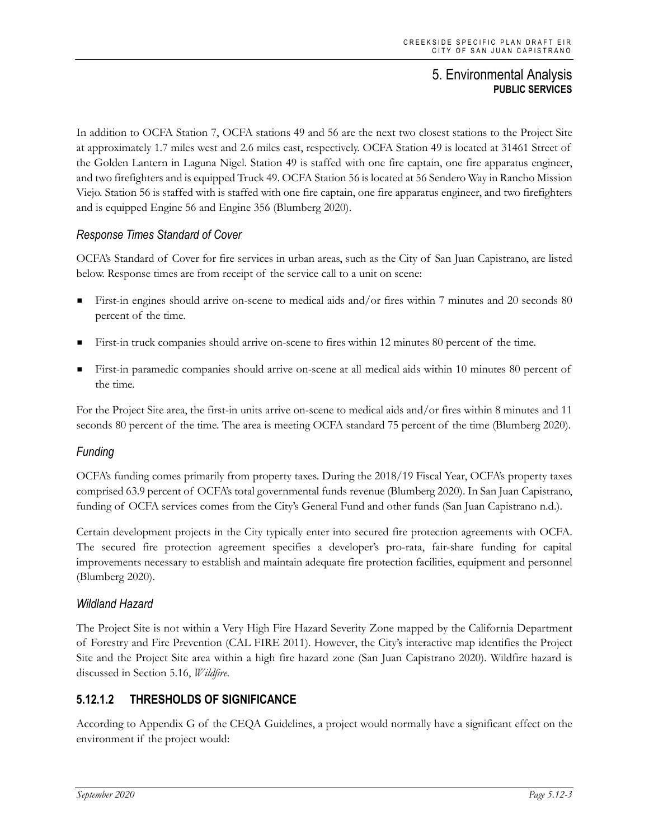In addition to OCFA Station 7, OCFA stations 49 and 56 are the next two closest stations to the Project Site at approximately 1.7 miles west and 2.6 miles east, respectively. OCFA Station 49 is located at 31461 Street of the Golden Lantern in Laguna Nigel. Station 49 is staffed with one fire captain, one fire apparatus engineer, and two firefighters and is equipped Truck 49. OCFA Station 56 is located at 56 Sendero Way in Rancho Mission Viejo. Station 56 is staffed with is staffed with one fire captain, one fire apparatus engineer, and two firefighters and is equipped Engine 56 and Engine 356 (Blumberg 2020).

## *Response Times Standard of Cover*

OCFA's Standard of Cover for fire services in urban areas, such as the City of San Juan Capistrano, are listed below. Response times are from receipt of the service call to a unit on scene:

- First-in engines should arrive on-scene to medical aids and/or fires within 7 minutes and 20 seconds 80 percent of the time.
- First-in truck companies should arrive on-scene to fires within 12 minutes 80 percent of the time.
- First-in paramedic companies should arrive on-scene at all medical aids within 10 minutes 80 percent of the time.

For the Project Site area, the first-in units arrive on-scene to medical aids and/or fires within 8 minutes and 11 seconds 80 percent of the time. The area is meeting OCFA standard 75 percent of the time (Blumberg 2020).

## *Funding*

OCFA's funding comes primarily from property taxes. During the 2018/19 Fiscal Year, OCFA's property taxes comprised 63.9 percent of OCFA's total governmental funds revenue (Blumberg 2020). In San Juan Capistrano, funding of OCFA services comes from the City's General Fund and other funds (San Juan Capistrano n.d.).

Certain development projects in the City typically enter into secured fire protection agreements with OCFA. The secured fire protection agreement specifies a developer's pro-rata, fair-share funding for capital improvements necessary to establish and maintain adequate fire protection facilities, equipment and personnel (Blumberg 2020).

#### *Wildland Hazard*

The Project Site is not within a Very High Fire Hazard Severity Zone mapped by the California Department of Forestry and Fire Prevention (CAL FIRE 2011). However, the City's interactive map identifies the Project Site and the Project Site area within a high fire hazard zone (San Juan Capistrano 2020). Wildfire hazard is discussed in Section 5.16, *Wildfire*.

## **5.12.1.2 THRESHOLDS OF SIGNIFICANCE**

According to Appendix G of the CEQA Guidelines, a project would normally have a significant effect on the environment if the project would: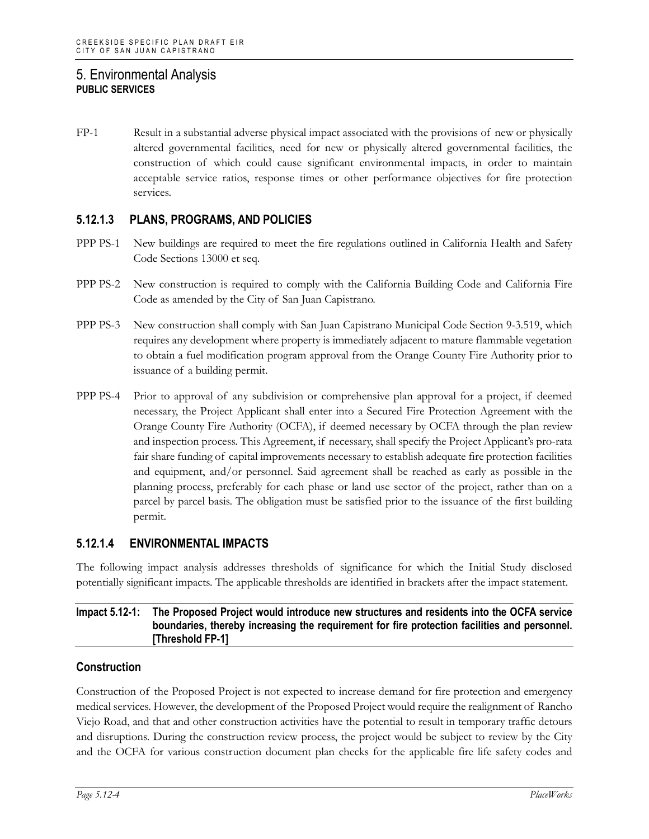FP-1 Result in a substantial adverse physical impact associated with the provisions of new or physically altered governmental facilities, need for new or physically altered governmental facilities, the construction of which could cause significant environmental impacts, in order to maintain acceptable service ratios, response times or other performance objectives for fire protection services.

## **5.12.1.3 PLANS, PROGRAMS, AND POLICIES**

- PPP PS-1 New buildings are required to meet the fire regulations outlined in California Health and Safety Code Sections 13000 et seq.
- PPP PS-2 New construction is required to comply with the California Building Code and California Fire Code as amended by the City of San Juan Capistrano.
- PPP PS-3 New construction shall comply with San Juan Capistrano Municipal Code Section 9-3.519, which requires any development where property is immediately adjacent to mature flammable vegetation to obtain a fuel modification program approval from the Orange County Fire Authority prior to issuance of a building permit.
- PPP PS-4 Prior to approval of any subdivision or comprehensive plan approval for a project, if deemed necessary, the Project Applicant shall enter into a Secured Fire Protection Agreement with the Orange County Fire Authority (OCFA), if deemed necessary by OCFA through the plan review and inspection process. This Agreement, if necessary, shall specify the Project Applicant's pro-rata fair share funding of capital improvements necessary to establish adequate fire protection facilities and equipment, and/or personnel. Said agreement shall be reached as early as possible in the planning process, preferably for each phase or land use sector of the project, rather than on a parcel by parcel basis. The obligation must be satisfied prior to the issuance of the first building permit.

## **5.12.1.4 ENVIRONMENTAL IMPACTS**

The following impact analysis addresses thresholds of significance for which the Initial Study disclosed potentially significant impacts. The applicable thresholds are identified in brackets after the impact statement.

#### **Impact 5.12-1: The Proposed Project would introduce new structures and residents into the OCFA service boundaries, thereby increasing the requirement for fire protection facilities and personnel. [Threshold FP-1]**

#### **Construction**

Construction of the Proposed Project is not expected to increase demand for fire protection and emergency medical services. However, the development of the Proposed Project would require the realignment of Rancho Viejo Road, and that and other construction activities have the potential to result in temporary traffic detours and disruptions. During the construction review process, the project would be subject to review by the City and the OCFA for various construction document plan checks for the applicable fire life safety codes and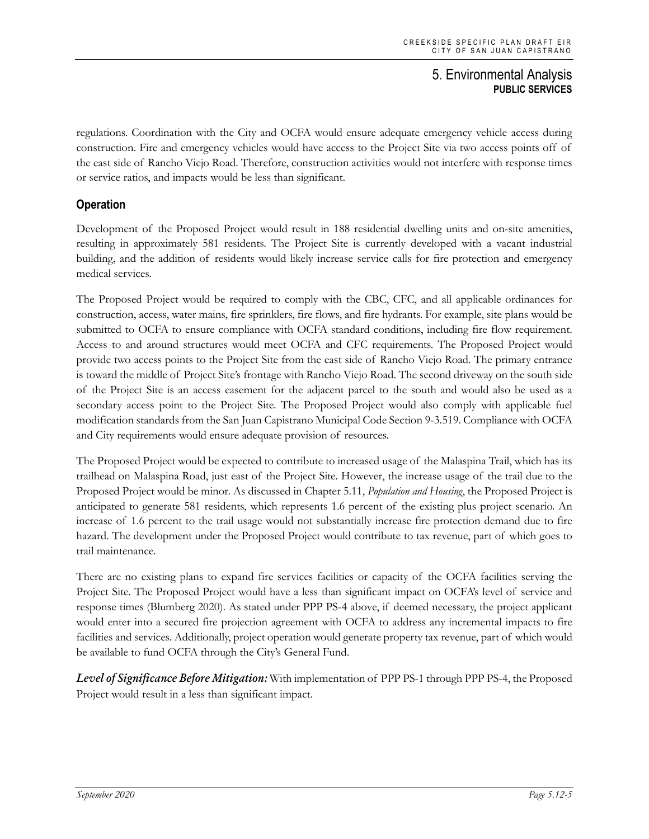regulations. Coordination with the City and OCFA would ensure adequate emergency vehicle access during construction. Fire and emergency vehicles would have access to the Project Site via two access points off of the east side of Rancho Viejo Road. Therefore, construction activities would not interfere with response times or service ratios, and impacts would be less than significant.

## **Operation**

Development of the Proposed Project would result in 188 residential dwelling units and on-site amenities, resulting in approximately 581 residents. The Project Site is currently developed with a vacant industrial building, and the addition of residents would likely increase service calls for fire protection and emergency medical services.

The Proposed Project would be required to comply with the CBC, CFC, and all applicable ordinances for construction, access, water mains, fire sprinklers, fire flows, and fire hydrants. For example, site plans would be submitted to OCFA to ensure compliance with OCFA standard conditions, including fire flow requirement. Access to and around structures would meet OCFA and CFC requirements. The Proposed Project would provide two access points to the Project Site from the east side of Rancho Viejo Road. The primary entrance is toward the middle of Project Site's frontage with Rancho Viejo Road. The second driveway on the south side of the Project Site is an access easement for the adjacent parcel to the south and would also be used as a secondary access point to the Project Site. The Proposed Project would also comply with applicable fuel modification standards from the San Juan Capistrano Municipal Code Section 9-3.519. Compliance with OCFA and City requirements would ensure adequate provision of resources.

The Proposed Project would be expected to contribute to increased usage of the Malaspina Trail, which has its trailhead on Malaspina Road, just east of the Project Site. However, the increase usage of the trail due to the Proposed Project would be minor. As discussed in Chapter 5.11, *Population and Housing*, the Proposed Project is anticipated to generate 581 residents, which represents 1.6 percent of the existing plus project scenario. An increase of 1.6 percent to the trail usage would not substantially increase fire protection demand due to fire hazard. The development under the Proposed Project would contribute to tax revenue, part of which goes to trail maintenance.

There are no existing plans to expand fire services facilities or capacity of the OCFA facilities serving the Project Site. The Proposed Project would have a less than significant impact on OCFA's level of service and response times (Blumberg 2020). As stated under PPP PS-4 above, if deemed necessary, the project applicant would enter into a secured fire projection agreement with OCFA to address any incremental impacts to fire facilities and services. Additionally, project operation would generate property tax revenue, part of which would be available to fund OCFA through the City's General Fund.

*Level of Significance Before Mitigation:* With implementation of PPP PS-1 through PPP PS-4, the Proposed Project would result in a less than significant impact.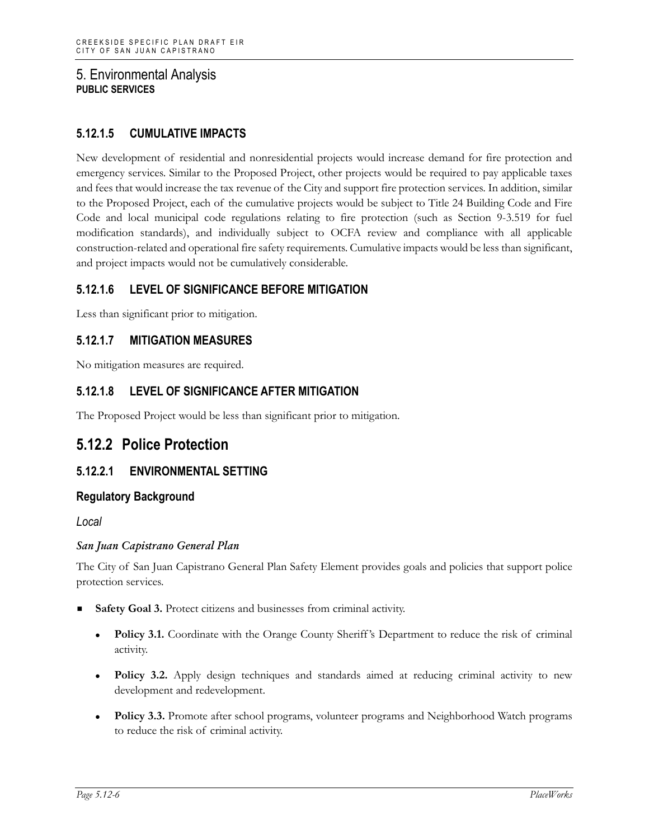## **5.12.1.5 CUMULATIVE IMPACTS**

New development of residential and nonresidential projects would increase demand for fire protection and emergency services. Similar to the Proposed Project, other projects would be required to pay applicable taxes and fees that would increase the tax revenue of the City and support fire protection services. In addition, similar to the Proposed Project, each of the cumulative projects would be subject to Title 24 Building Code and Fire Code and local municipal code regulations relating to fire protection (such as Section 9-3.519 for fuel modification standards), and individually subject to OCFA review and compliance with all applicable construction-related and operational fire safety requirements. Cumulative impacts would be less than significant, and project impacts would not be cumulatively considerable.

## **5.12.1.6 LEVEL OF SIGNIFICANCE BEFORE MITIGATION**

Less than significant prior to mitigation.

#### **5.12.1.7 MITIGATION MEASURES**

No mitigation measures are required.

#### **5.12.1.8 LEVEL OF SIGNIFICANCE AFTER MITIGATION**

The Proposed Project would be less than significant prior to mitigation.

## **5.12.2 Police Protection**

#### **5.12.2.1 ENVIRONMENTAL SETTING**

#### **Regulatory Background**

*Local*

#### *San Juan Capistrano General Plan*

The City of San Juan Capistrano General Plan Safety Element provides goals and policies that support police protection services.

- **Safety Goal 3.** Protect citizens and businesses from criminal activity.
	- Policy 3.1. Coordinate with the Orange County Sheriff's Department to reduce the risk of criminal activity.
	- **Policy 3.2.** Apply design techniques and standards aimed at reducing criminal activity to new development and redevelopment.
	- **Policy 3.3.** Promote after school programs, volunteer programs and Neighborhood Watch programs to reduce the risk of criminal activity.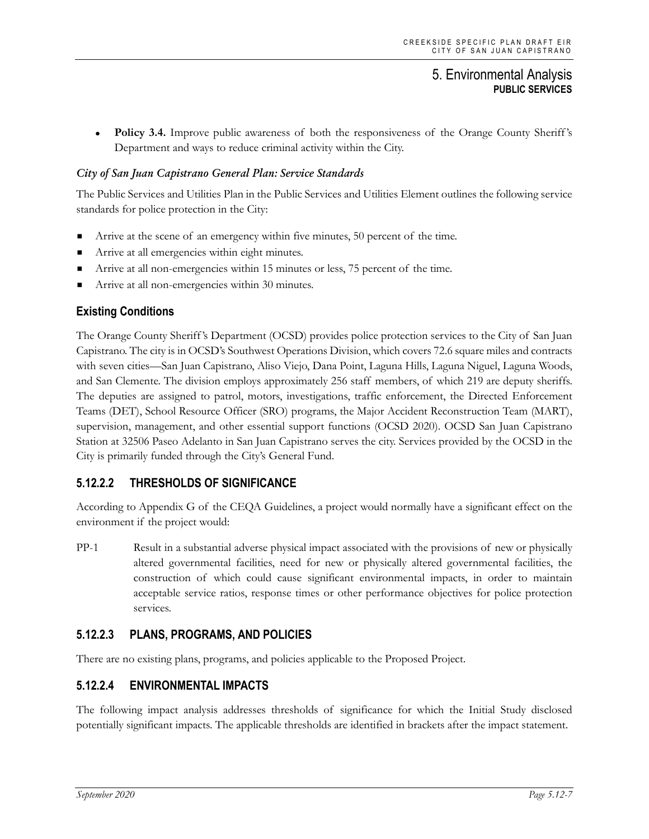• Policy 3.4. Improve public awareness of both the responsiveness of the Orange County Sheriff's Department and ways to reduce criminal activity within the City.

#### *City of San Juan Capistrano General Plan: Service Standards*

The Public Services and Utilities Plan in the Public Services and Utilities Element outlines the following service standards for police protection in the City:

- Arrive at the scene of an emergency within five minutes, 50 percent of the time.
- Arrive at all emergencies within eight minutes.
- Arrive at all non-emergencies within 15 minutes or less, 75 percent of the time.
- Arrive at all non-emergencies within 30 minutes.

#### **Existing Conditions**

The Orange County Sheriff 's Department (OCSD) provides police protection services to the City of San Juan Capistrano. The city is in OCSD's Southwest Operations Division, which covers 72.6 square miles and contracts with seven cities—San Juan Capistrano, Aliso Viejo, Dana Point, Laguna Hills, Laguna Niguel, Laguna Woods, and San Clemente. The division employs approximately 256 staff members, of which 219 are deputy sheriffs. The deputies are assigned to patrol, motors, investigations, traffic enforcement, the Directed Enforcement Teams (DET), School Resource Officer (SRO) programs, the Major Accident Reconstruction Team (MART), supervision, management, and other essential support functions (OCSD 2020). OCSD San Juan Capistrano Station at 32506 Paseo Adelanto in San Juan Capistrano serves the city. Services provided by the OCSD in the City is primarily funded through the City's General Fund.

## **5.12.2.2 THRESHOLDS OF SIGNIFICANCE**

According to Appendix G of the CEQA Guidelines, a project would normally have a significant effect on the environment if the project would:

PP-1 Result in a substantial adverse physical impact associated with the provisions of new or physically altered governmental facilities, need for new or physically altered governmental facilities, the construction of which could cause significant environmental impacts, in order to maintain acceptable service ratios, response times or other performance objectives for police protection services.

#### **5.12.2.3 PLANS, PROGRAMS, AND POLICIES**

There are no existing plans, programs, and policies applicable to the Proposed Project.

#### **5.12.2.4 ENVIRONMENTAL IMPACTS**

The following impact analysis addresses thresholds of significance for which the Initial Study disclosed potentially significant impacts. The applicable thresholds are identified in brackets after the impact statement.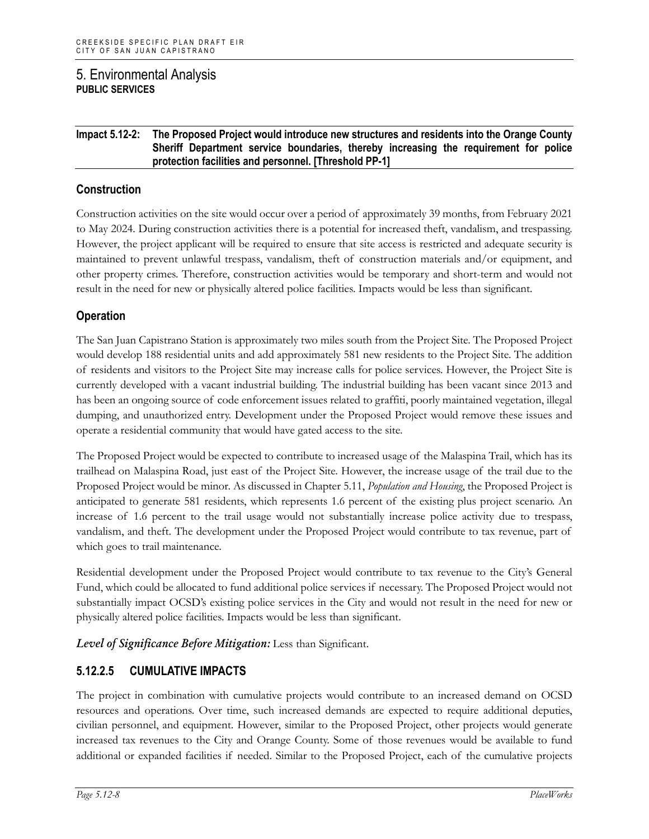#### **Impact 5.12-2: The Proposed Project would introduce new structures and residents into the Orange County Sheriff Department service boundaries, thereby increasing the requirement for police protection facilities and personnel. [Threshold PP-1]**

#### **Construction**

Construction activities on the site would occur over a period of approximately 39 months, from February 2021 to May 2024. During construction activities there is a potential for increased theft, vandalism, and trespassing. However, the project applicant will be required to ensure that site access is restricted and adequate security is maintained to prevent unlawful trespass, vandalism, theft of construction materials and/or equipment, and other property crimes. Therefore, construction activities would be temporary and short-term and would not result in the need for new or physically altered police facilities. Impacts would be less than significant.

#### **Operation**

The San Juan Capistrano Station is approximately two miles south from the Project Site. The Proposed Project would develop 188 residential units and add approximately 581 new residents to the Project Site. The addition of residents and visitors to the Project Site may increase calls for police services. However, the Project Site is currently developed with a vacant industrial building. The industrial building has been vacant since 2013 and has been an ongoing source of code enforcement issues related to graffiti, poorly maintained vegetation, illegal dumping, and unauthorized entry. Development under the Proposed Project would remove these issues and operate a residential community that would have gated access to the site.

The Proposed Project would be expected to contribute to increased usage of the Malaspina Trail, which has its trailhead on Malaspina Road, just east of the Project Site. However, the increase usage of the trail due to the Proposed Project would be minor. As discussed in Chapter 5.11, *Population and Housing*, the Proposed Project is anticipated to generate 581 residents, which represents 1.6 percent of the existing plus project scenario. An increase of 1.6 percent to the trail usage would not substantially increase police activity due to trespass, vandalism, and theft. The development under the Proposed Project would contribute to tax revenue, part of which goes to trail maintenance.

Residential development under the Proposed Project would contribute to tax revenue to the City's General Fund, which could be allocated to fund additional police services if necessary. The Proposed Project would not substantially impact OCSD's existing police services in the City and would not result in the need for new or physically altered police facilities. Impacts would be less than significant.

*Level of Significance Before Mitigation:* Less than Significant.

## **5.12.2.5 CUMULATIVE IMPACTS**

The project in combination with cumulative projects would contribute to an increased demand on OCSD resources and operations. Over time, such increased demands are expected to require additional deputies, civilian personnel, and equipment. However, similar to the Proposed Project, other projects would generate increased tax revenues to the City and Orange County. Some of those revenues would be available to fund additional or expanded facilities if needed. Similar to the Proposed Project, each of the cumulative projects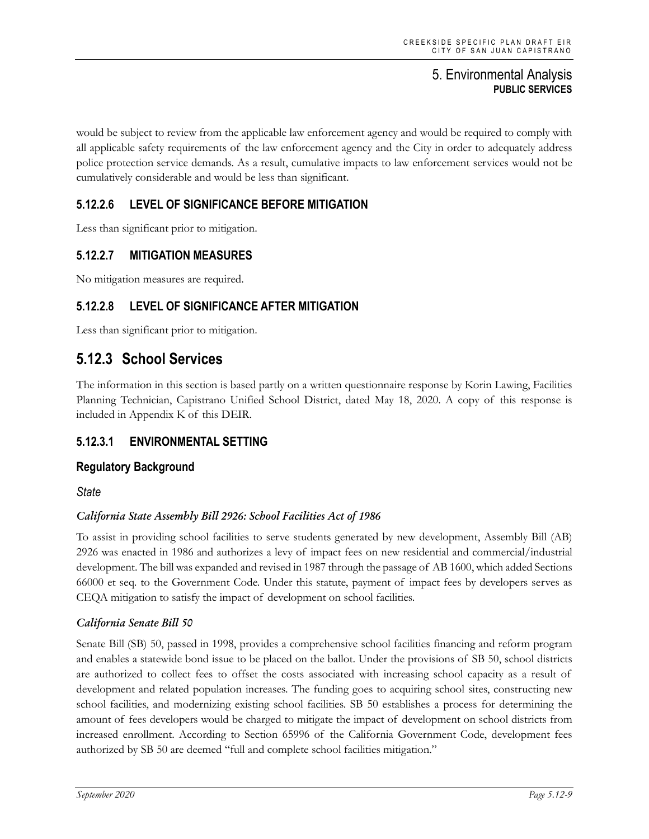would be subject to review from the applicable law enforcement agency and would be required to comply with all applicable safety requirements of the law enforcement agency and the City in order to adequately address police protection service demands. As a result, cumulative impacts to law enforcement services would not be cumulatively considerable and would be less than significant.

## **5.12.2.6 LEVEL OF SIGNIFICANCE BEFORE MITIGATION**

Less than significant prior to mitigation.

## **5.12.2.7 MITIGATION MEASURES**

No mitigation measures are required.

## **5.12.2.8 LEVEL OF SIGNIFICANCE AFTER MITIGATION**

Less than significant prior to mitigation.

## **5.12.3 School Services**

The information in this section is based partly on a written questionnaire response by Korin Lawing, Facilities Planning Technician, Capistrano Unified School District, dated May 18, 2020. A copy of this response is included in Appendix K of this DEIR.

## **5.12.3.1 ENVIRONMENTAL SETTING**

#### **Regulatory Background**

*State*

#### *California State Assembly Bill 2926: School Facilities Act of 1986*

To assist in providing school facilities to serve students generated by new development, Assembly Bill (AB) 2926 was enacted in 1986 and authorizes a levy of impact fees on new residential and commercial/industrial development. The bill was expanded and revised in 1987 through the passage of AB 1600, which added Sections 66000 et seq. to the Government Code. Under this statute, payment of impact fees by developers serves as CEQA mitigation to satisfy the impact of development on school facilities.

#### *California Senate Bill 50*

Senate Bill (SB) 50, passed in 1998, provides a comprehensive school facilities financing and reform program and enables a statewide bond issue to be placed on the ballot. Under the provisions of SB 50, school districts are authorized to collect fees to offset the costs associated with increasing school capacity as a result of development and related population increases. The funding goes to acquiring school sites, constructing new school facilities, and modernizing existing school facilities. SB 50 establishes a process for determining the amount of fees developers would be charged to mitigate the impact of development on school districts from increased enrollment. According to Section 65996 of the California Government Code, development fees authorized by SB 50 are deemed "full and complete school facilities mitigation."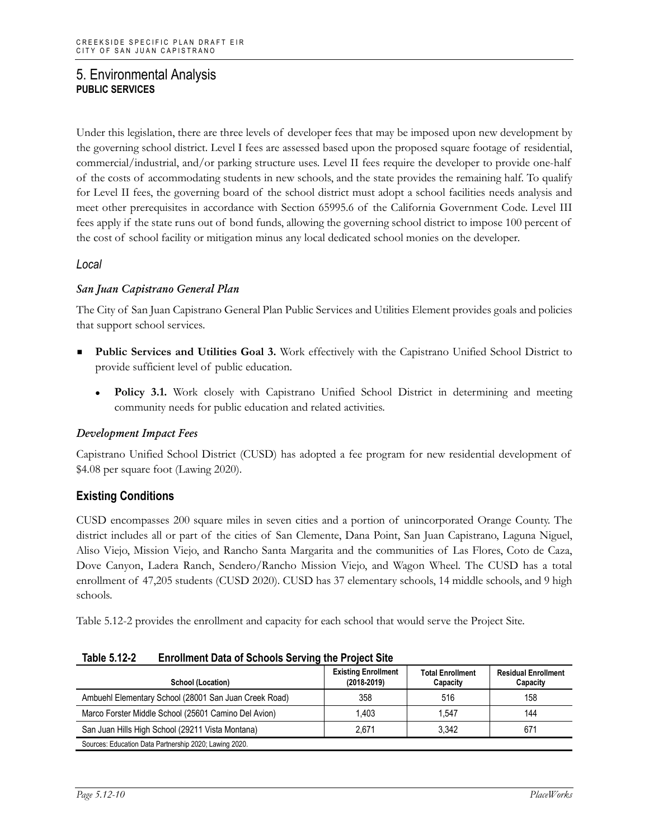Under this legislation, there are three levels of developer fees that may be imposed upon new development by the governing school district. Level I fees are assessed based upon the proposed square footage of residential, commercial/industrial, and/or parking structure uses. Level II fees require the developer to provide one-half of the costs of accommodating students in new schools, and the state provides the remaining half. To qualify for Level II fees, the governing board of the school district must adopt a school facilities needs analysis and meet other prerequisites in accordance with Section 65995.6 of the California Government Code. Level III fees apply if the state runs out of bond funds, allowing the governing school district to impose 100 percent of the cost of school facility or mitigation minus any local dedicated school monies on the developer.

#### *Local*

#### *San Juan Capistrano General Plan*

The City of San Juan Capistrano General Plan Public Services and Utilities Element provides goals and policies that support school services.

- **Public Services and Utilities Goal 3.** Work effectively with the Capistrano Unified School District to provide sufficient level of public education.
	- **Policy 3.1.** Work closely with Capistrano Unified School District in determining and meeting community needs for public education and related activities.

#### *Development Impact Fees*

Capistrano Unified School District (CUSD) has adopted a fee program for new residential development of \$4.08 per square foot (Lawing 2020).

#### **Existing Conditions**

CUSD encompasses 200 square miles in seven cities and a portion of unincorporated Orange County. The district includes all or part of the cities of San Clemente, Dana Point, San Juan Capistrano, Laguna Niguel, Aliso Viejo, Mission Viejo, and Rancho Santa Margarita and the communities of Las Flores, Coto de Caza, Dove Canyon, Ladera Ranch, Sendero/Rancho Mission Viejo, and Wagon Wheel. The CUSD has a total enrollment of 47,205 students (CUSD 2020). CUSD has 37 elementary schools, 14 middle schools, and 9 high schools.

Table 5.12-2 provides the enrollment and capacity for each school that would serve the Project Site.

| School (Location)                                      | <b>Existing Enrollment</b><br>$(2018 - 2019)$ | <b>Total Enrollment</b><br>Capacity | <b>Residual Enrollment</b><br>Capacity |
|--------------------------------------------------------|-----------------------------------------------|-------------------------------------|----------------------------------------|
| Ambuehl Elementary School (28001 San Juan Creek Road)  | 358                                           | 516                                 | 158                                    |
| Marco Forster Middle School (25601 Camino Del Avion)   | 1.403                                         | 1.547                               | 144                                    |
| San Juan Hills High School (29211 Vista Montana)       | 2.671                                         | 3.342                               | 671                                    |
| Sources: Education Data Partnership 2020; Lawing 2020. |                                               |                                     |                                        |

| Table 5.12-2 | <b>Enrollment Data of Schools Serving the Project Site</b> |
|--------------|------------------------------------------------------------|
|--------------|------------------------------------------------------------|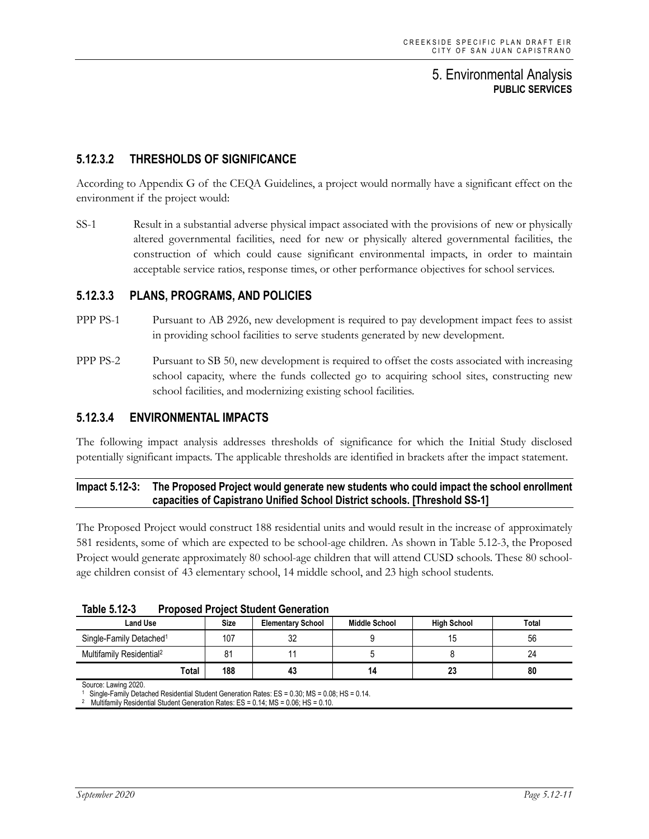## **5.12.3.2 THRESHOLDS OF SIGNIFICANCE**

According to Appendix G of the CEQA Guidelines, a project would normally have a significant effect on the environment if the project would:

SS-1 Result in a substantial adverse physical impact associated with the provisions of new or physically altered governmental facilities, need for new or physically altered governmental facilities, the construction of which could cause significant environmental impacts, in order to maintain acceptable service ratios, response times, or other performance objectives for school services.

#### **5.12.3.3 PLANS, PROGRAMS, AND POLICIES**

- PPP PS-1 Pursuant to AB 2926, new development is required to pay development impact fees to assist in providing school facilities to serve students generated by new development.
- PPP PS-2 Pursuant to SB 50, new development is required to offset the costs associated with increasing school capacity, where the funds collected go to acquiring school sites, constructing new school facilities, and modernizing existing school facilities.

#### **5.12.3.4 ENVIRONMENTAL IMPACTS**

The following impact analysis addresses thresholds of significance for which the Initial Study disclosed potentially significant impacts. The applicable thresholds are identified in brackets after the impact statement.

#### **Impact 5.12-3: The Proposed Project would generate new students who could impact the school enrollment capacities of Capistrano Unified School District schools. [Threshold SS-1]**

The Proposed Project would construct 188 residential units and would result in the increase of approximately 581 residents, some of which are expected to be school-age children. As shown in Table 5.12-3, the Proposed Project would generate approximately 80 school-age children that will attend CUSD schools. These 80 schoolage children consist of 43 elementary school, 14 middle school, and 23 high school students.

| ים טועוס ומאז<br><b>TUDISCA I TUJECI ORAGIN OCHETANOH</b> |             |                          |                      |                    |       |
|-----------------------------------------------------------|-------------|--------------------------|----------------------|--------------------|-------|
| <b>Land Use</b>                                           | <b>Size</b> | <b>Elementary School</b> | <b>Middle School</b> | <b>High School</b> | Total |
| Single-Family Detached <sup>1</sup>                       | 107         | 32                       |                      |                    | 56    |
| Multifamily Residential <sup>2</sup>                      |             |                          |                      |                    | 24    |
| Total                                                     | 188         | 43                       | 14                   | 23                 | 80    |

| Table 5.12-3 | <b>Proposed Project Student Generation</b> |  |
|--------------|--------------------------------------------|--|
|--------------|--------------------------------------------|--|

Source: Lawing 2020.

<sup>1</sup> Single-Family Detached Residential Student Generation Rates: ES = 0.30; MS = 0.08; HS = 0.14.

<sup>2</sup> Multifamily Residential Student Generation Rates: ES = 0.14; MS = 0.06; HS = 0.10.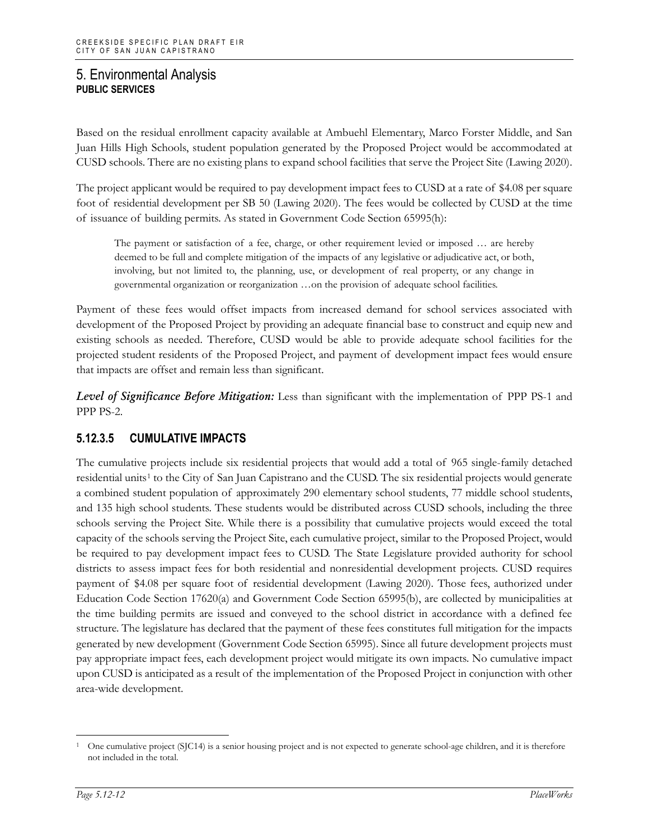Based on the residual enrollment capacity available at Ambuehl Elementary, Marco Forster Middle, and San Juan Hills High Schools, student population generated by the Proposed Project would be accommodated at CUSD schools. There are no existing plans to expand school facilities that serve the Project Site (Lawing 2020).

The project applicant would be required to pay development impact fees to CUSD at a rate of \$4.08 per square foot of residential development per SB 50 (Lawing 2020). The fees would be collected by CUSD at the time of issuance of building permits. As stated in Government Code Section 65995(h):

The payment or satisfaction of a fee, charge, or other requirement levied or imposed … are hereby deemed to be full and complete mitigation of the impacts of any legislative or adjudicative act, or both, involving, but not limited to, the planning, use, or development of real property, or any change in governmental organization or reorganization …on the provision of adequate school facilities.

Payment of these fees would offset impacts from increased demand for school services associated with development of the Proposed Project by providing an adequate financial base to construct and equip new and existing schools as needed. Therefore, CUSD would be able to provide adequate school facilities for the projected student residents of the Proposed Project, and payment of development impact fees would ensure that impacts are offset and remain less than significant.

*Level of Significance Before Mitigation:* Less than significant with the implementation of PPP PS-1 and PPP PS-2.

## **5.12.3.5 CUMULATIVE IMPACTS**

The cumulative projects include six residential projects that would add a total of 965 single-family detached residential units<sup>[1](#page-11-0)</sup> to the City of San Juan Capistrano and the CUSD. The six residential projects would generate a combined student population of approximately 290 elementary school students, 77 middle school students, and 135 high school students. These students would be distributed across CUSD schools, including the three schools serving the Project Site. While there is a possibility that cumulative projects would exceed the total capacity of the schools serving the Project Site, each cumulative project, similar to the Proposed Project, would be required to pay development impact fees to CUSD. The State Legislature provided authority for school districts to assess impact fees for both residential and nonresidential development projects. CUSD requires payment of \$4.08 per square foot of residential development (Lawing 2020). Those fees, authorized under Education Code Section 17620(a) and Government Code Section 65995(b), are collected by municipalities at the time building permits are issued and conveyed to the school district in accordance with a defined fee structure. The legislature has declared that the payment of these fees constitutes full mitigation for the impacts generated by new development (Government Code Section 65995). Since all future development projects must pay appropriate impact fees, each development project would mitigate its own impacts. No cumulative impact upon CUSD is anticipated as a result of the implementation of the Proposed Project in conjunction with other area-wide development.

<span id="page-11-0"></span><sup>1</sup> One cumulative project (SJC14) is a senior housing project and is not expected to generate school-age children, and it is therefore not included in the total.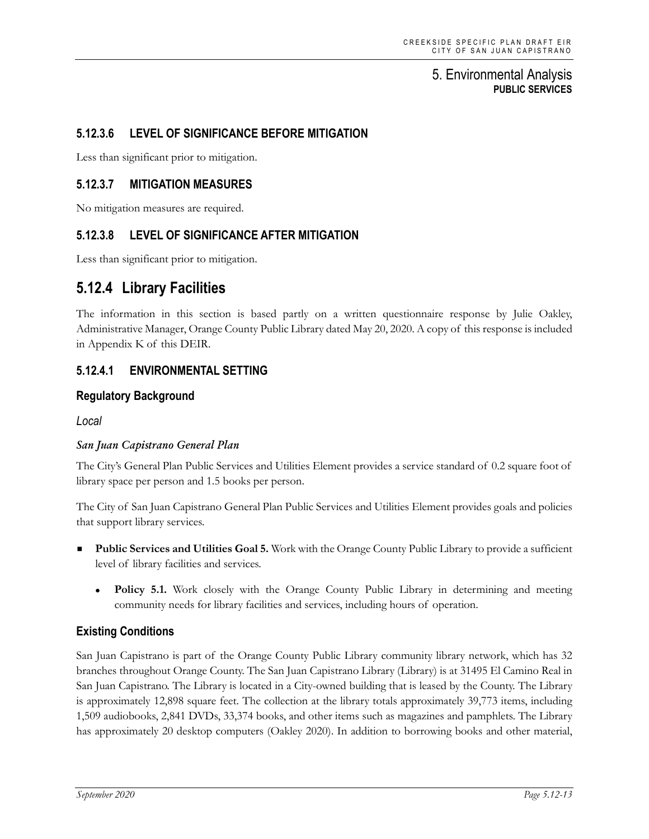## **5.12.3.6 LEVEL OF SIGNIFICANCE BEFORE MITIGATION**

Less than significant prior to mitigation.

#### **5.12.3.7 MITIGATION MEASURES**

No mitigation measures are required.

#### **5.12.3.8 LEVEL OF SIGNIFICANCE AFTER MITIGATION**

Less than significant prior to mitigation.

## **5.12.4 Library Facilities**

The information in this section is based partly on a written questionnaire response by Julie Oakley, Administrative Manager, Orange County Public Library dated May 20, 2020. A copy of this response is included in Appendix K of this DEIR.

#### **5.12.4.1 ENVIRONMENTAL SETTING**

#### **Regulatory Background**

*Local*

#### *San Juan Capistrano General Plan*

The City's General Plan Public Services and Utilities Element provides a service standard of 0.2 square foot of library space per person and 1.5 books per person.

The City of San Juan Capistrano General Plan Public Services and Utilities Element provides goals and policies that support library services.

- **Public Services and Utilities Goal 5.** Work with the Orange County Public Library to provide a sufficient level of library facilities and services.
	- **Policy 5.1.** Work closely with the Orange County Public Library in determining and meeting community needs for library facilities and services, including hours of operation.

#### **Existing Conditions**

San Juan Capistrano is part of the Orange County Public Library community library network, which has 32 branches throughout Orange County. The San Juan Capistrano Library (Library) is at 31495 El Camino Real in San Juan Capistrano. The Library is located in a City-owned building that is leased by the County. The Library is approximately 12,898 square feet. The collection at the library totals approximately 39,773 items, including 1,509 audiobooks, 2,841 DVDs, 33,374 books, and other items such as magazines and pamphlets. The Library has approximately 20 desktop computers (Oakley 2020). In addition to borrowing books and other material,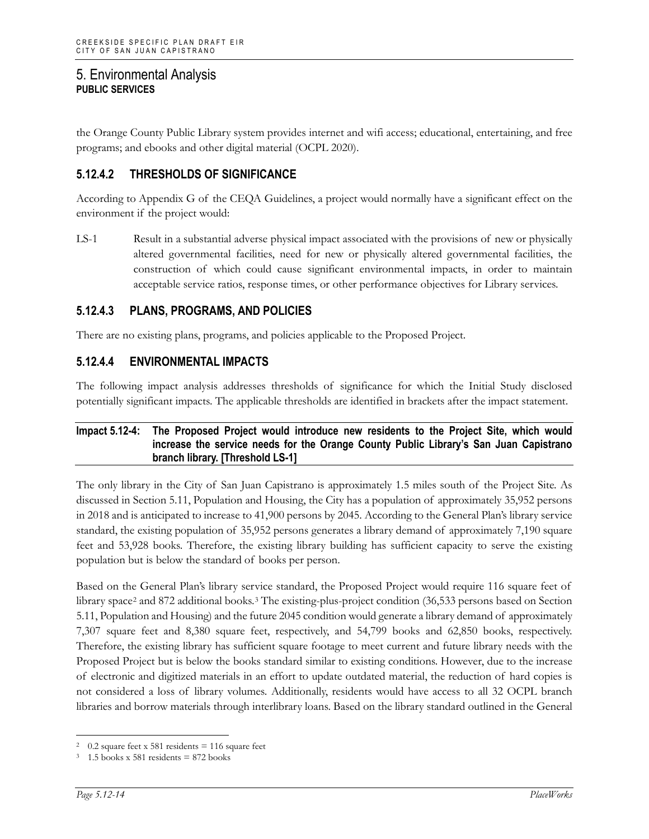the Orange County Public Library system provides internet and wifi access; educational, entertaining, and free programs; and ebooks and other digital material (OCPL 2020).

## **5.12.4.2 THRESHOLDS OF SIGNIFICANCE**

According to Appendix G of the CEQA Guidelines, a project would normally have a significant effect on the environment if the project would:

LS-1 Result in a substantial adverse physical impact associated with the provisions of new or physically altered governmental facilities, need for new or physically altered governmental facilities, the construction of which could cause significant environmental impacts, in order to maintain acceptable service ratios, response times, or other performance objectives for Library services.

## **5.12.4.3 PLANS, PROGRAMS, AND POLICIES**

There are no existing plans, programs, and policies applicable to the Proposed Project.

## **5.12.4.4 ENVIRONMENTAL IMPACTS**

The following impact analysis addresses thresholds of significance for which the Initial Study disclosed potentially significant impacts. The applicable thresholds are identified in brackets after the impact statement.

#### **Impact 5.12-4: The Proposed Project would introduce new residents to the Project Site, which would increase the service needs for the Orange County Public Library's San Juan Capistrano branch library. [Threshold LS-1]**

The only library in the City of San Juan Capistrano is approximately 1.5 miles south of the Project Site. As discussed in Section 5.11, Population and Housing, the City has a population of approximately 35,952 persons in 2018 and is anticipated to increase to 41,900 persons by 2045. According to the General Plan's library service standard, the existing population of 35,952 persons generates a library demand of approximately 7,190 square feet and 53,928 books. Therefore, the existing library building has sufficient capacity to serve the existing population but is below the standard of books per person.

Based on the General Plan's library service standard, the Proposed Project would require 116 square feet of library space<sup>[2](#page-13-0)</sup> and 872 additional books.<sup>[3](#page-13-1)</sup> The existing-plus-project condition (36,533 persons based on Section 5.11, Population and Housing) and the future 2045 condition would generate a library demand of approximately 7,307 square feet and 8,380 square feet, respectively, and 54,799 books and 62,850 books, respectively. Therefore, the existing library has sufficient square footage to meet current and future library needs with the Proposed Project but is below the books standard similar to existing conditions. However, due to the increase of electronic and digitized materials in an effort to update outdated material, the reduction of hard copies is not considered a loss of library volumes. Additionally, residents would have access to all 32 OCPL branch libraries and borrow materials through interlibrary loans. Based on the library standard outlined in the General

<span id="page-13-0"></span> $2 \quad 0.2$  square feet x 581 residents = 116 square feet

<span id="page-13-1"></span> $3 - 1.5$  books x 581 residents = 872 books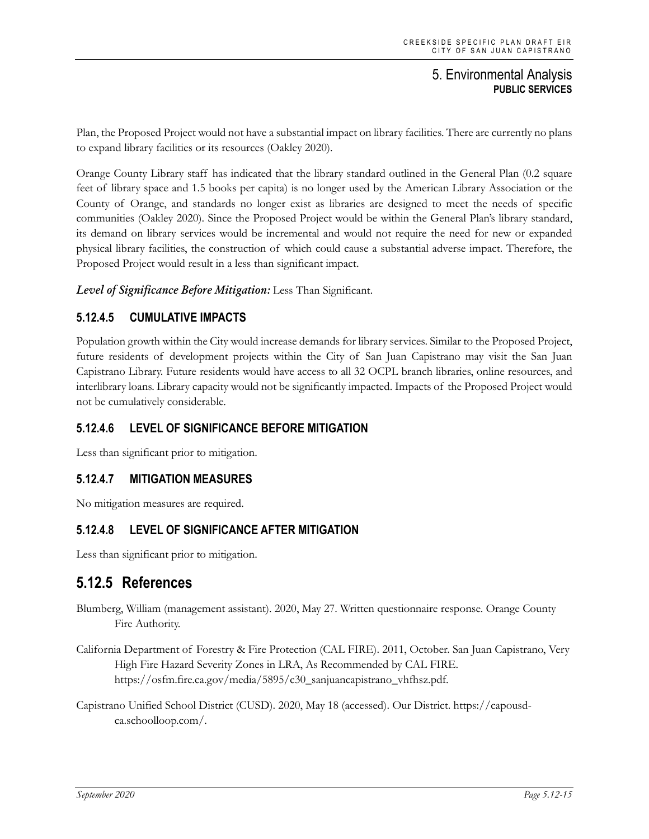Plan, the Proposed Project would not have a substantial impact on library facilities. There are currently no plans to expand library facilities or its resources (Oakley 2020).

Orange County Library staff has indicated that the library standard outlined in the General Plan (0.2 square feet of library space and 1.5 books per capita) is no longer used by the American Library Association or the County of Orange, and standards no longer exist as libraries are designed to meet the needs of specific communities (Oakley 2020). Since the Proposed Project would be within the General Plan's library standard, its demand on library services would be incremental and would not require the need for new or expanded physical library facilities, the construction of which could cause a substantial adverse impact. Therefore, the Proposed Project would result in a less than significant impact.

*Level of Significance Before Mitigation:* Less Than Significant.

## **5.12.4.5 CUMULATIVE IMPACTS**

Population growth within the City would increase demands for library services. Similar to the Proposed Project, future residents of development projects within the City of San Juan Capistrano may visit the San Juan Capistrano Library. Future residents would have access to all 32 OCPL branch libraries, online resources, and interlibrary loans. Library capacity would not be significantly impacted. Impacts of the Proposed Project would not be cumulatively considerable.

## **5.12.4.6 LEVEL OF SIGNIFICANCE BEFORE MITIGATION**

Less than significant prior to mitigation.

## **5.12.4.7 MITIGATION MEASURES**

No mitigation measures are required.

## **5.12.4.8 LEVEL OF SIGNIFICANCE AFTER MITIGATION**

Less than significant prior to mitigation.

## **5.12.5 References**

- Blumberg, William (management assistant). 2020, May 27. Written questionnaire response. Orange County Fire Authority.
- California Department of Forestry & Fire Protection (CAL FIRE). 2011, October. San Juan Capistrano, Very High Fire Hazard Severity Zones in LRA, As Recommended by CAL FIRE. https://osfm.fire.ca.gov/media/5895/c30\_sanjuancapistrano\_vhfhsz.pdf.
- Capistrano Unified School District (CUSD). 2020, May 18 (accessed). Our District. https://capousdca.schoolloop.com/.